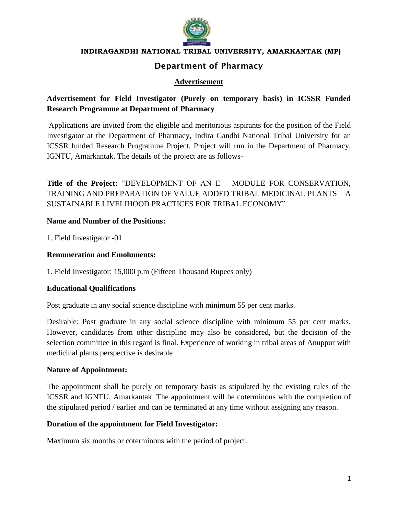

#### **INDIRAGANDHI NATIONAL TRIBAL UNIVERSITY, AMARKANTAK (MP)**

# **Department of Pharmacy**

# **Advertisement**

# **Advertisement for Field Investigator (Purely on temporary basis) in ICSSR Funded Research Programme at Department of Pharmacy**

Applications are invited from the eligible and meritorious aspirants for the position of the Field Investigator at the Department of Pharmacy, Indira Gandhi National Tribal University for an ICSSR funded Research Programme Project. Project will run in the Department of Pharmacy, IGNTU, Amarkantak. The details of the project are as follows-

**Title of the Project:** "DEVELOPMENT OF AN E – MODULE FOR CONSERVATION, TRAINING AND PREPARATION OF VALUE ADDED TRIBAL MEDICINAL PLANTS – A SUSTAINABLE LIVELIHOOD PRACTICES FOR TRIBAL ECONOMY"

#### **Name and Number of the Positions:**

1. Field Investigator -01

### **Remuneration and Emoluments:**

1. Field Investigator: 15,000 p.m (Fifteen Thousand Rupees only)

## **Educational Qualifications**

Post graduate in any social science discipline with minimum 55 per cent marks.

Desirable: Post graduate in any social science discipline with minimum 55 per cent marks. However, candidates from other discipline may also be considered, but the decision of the selection committee in this regard is final. Experience of working in tribal areas of Anuppur with medicinal plants perspective is desirable

#### **Nature of Appointment:**

The appointment shall be purely on temporary basis as stipulated by the existing rules of the ICSSR and IGNTU, Amarkantak. The appointment will be coterminous with the completion of the stipulated period / earlier and can be terminated at any time without assigning any reason.

## **Duration of the appointment for Field Investigator:**

Maximum six months or coterminous with the period of project.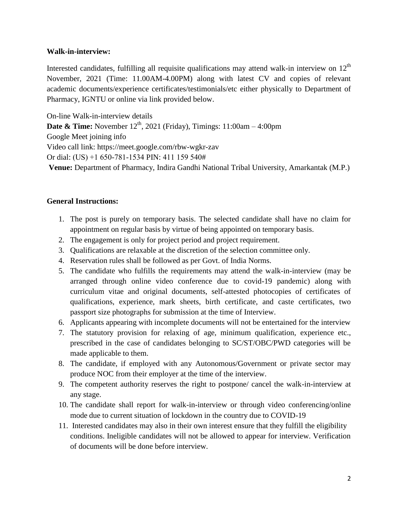### **Walk-in-interview:**

Interested candidates, fulfilling all requisite qualifications may attend walk-in interview on  $12<sup>th</sup>$ November, 2021 (Time: 11.00AM-4.00PM) along with latest CV and copies of relevant academic documents/experience certificates/testimonials/etc either physically to Department of Pharmacy, IGNTU or online via link provided below.

On-line Walk-in-interview details

**Date & Time:** November 12<sup>th</sup>, 2021 (Friday), Timings: 11:00am – 4:00pm

Google Meet joining info

Video call link: https://meet.google.com/rbw-wgkr-zav

Or dial: (US) +1 650-781-1534 PIN: 411 159 540#

**Venue:** Department of Pharmacy, Indira Gandhi National Tribal University, Amarkantak (M.P.)

## **General Instructions:**

- 1. The post is purely on temporary basis. The selected candidate shall have no claim for appointment on regular basis by virtue of being appointed on temporary basis.
- 2. The engagement is only for project period and project requirement.
- 3. Qualifications are relaxable at the discretion of the selection committee only.
- 4. Reservation rules shall be followed as per Govt. of India Norms.
- 5. The candidate who fulfills the requirements may attend the walk-in-interview (may be arranged through online video conference due to covid-19 pandemic) along with curriculum vitae and original documents, self-attested photocopies of certificates of qualifications, experience, mark sheets, birth certificate, and caste certificates, two passport size photographs for submission at the time of Interview.
- 6. Applicants appearing with incomplete documents will not be entertained for the interview
- 7. The statutory provision for relaxing of age, minimum qualification, experience etc., prescribed in the case of candidates belonging to SC/ST/OBC/PWD categories will be made applicable to them.
- 8. The candidate, if employed with any Autonomous/Government or private sector may produce NOC from their employer at the time of the interview.
- 9. The competent authority reserves the right to postpone/ cancel the walk-in-interview at any stage.
- 10. The candidate shall report for walk-in-interview or through video conferencing/online mode due to current situation of lockdown in the country due to COVID-19
- 11. Interested candidates may also in their own interest ensure that they fulfill the eligibility conditions. Ineligible candidates will not be allowed to appear for interview. Verification of documents will be done before interview.